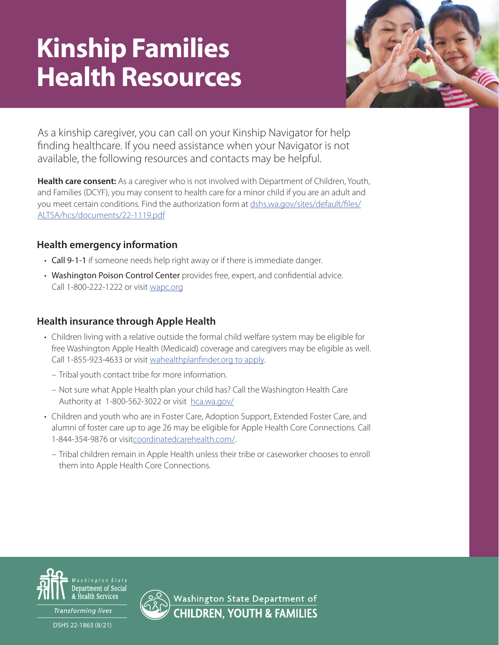# Kinship Families Health Resources



As a kinship caregiver, you can call on your Kinship Navigator for help finding healthcare. If you need assistance when your Navigator is not available, the following resources and contacts may be helpful.

**Health care consent:** As a caregiver who is not involved with Department of Children, Youth, and Families (DCYF), you may consent to health care for a minor child if you are an adult and you meet certain conditions. Find the authorization form at [dshs.wa.gov/sites/default/files/](https://www.dshs.wa.gov/sites/default/files/ALTSA/hcs/documents/22-1119.pdf) [ALTSA/hcs/documents/22-1119.pdf](https://www.dshs.wa.gov/sites/default/files/ALTSA/hcs/documents/22-1119.pdf)

## **Health emergency information**

- Call 9-1-1 if someone needs help right away or if there is immediate danger.
- Washington Poison Control Center provides free, expert, and confidential advice. Call 1-800-222-1222 or visit [wapc.org](http://www.wapc.org)

## **Health insurance through Apple Health**

- Children living with a relative outside the formal child welfare system may be eligible for free Washington Apple Health (Medicaid) coverage and caregivers may be eligible as well. Call 1-855-923-4633 or visit [wahealthplanfinder.org to apply](https://www.wahealthplanfinder.org).
	- Tribal youth contact tribe for more information.
	- Not sure what Apple Health plan your child has? Call the Washington Health Care Authority at 1-800-562-3022 or visit [hca.wa.gov/](https://www.hca.wa.gov)
- Children and youth who are in Foster Care, Adoption Support, Extended Foster Care, and alumni of foster care up to age 26 may be eligible for Apple Health Core Connections. Call 1-844-354-9876 or visi[tcoordinatedcarehealth.com/](https://www.coordinatedcarehealth.com).
	- Tribal children remain in Apple Health unless their tribe or caseworker chooses to enroll them into Apple Health Core Connections.



Transforming lives

DSHS 22-1863 (8/21)



Washington State Department of **CHILDREN, YOUTH & FAMILIES**